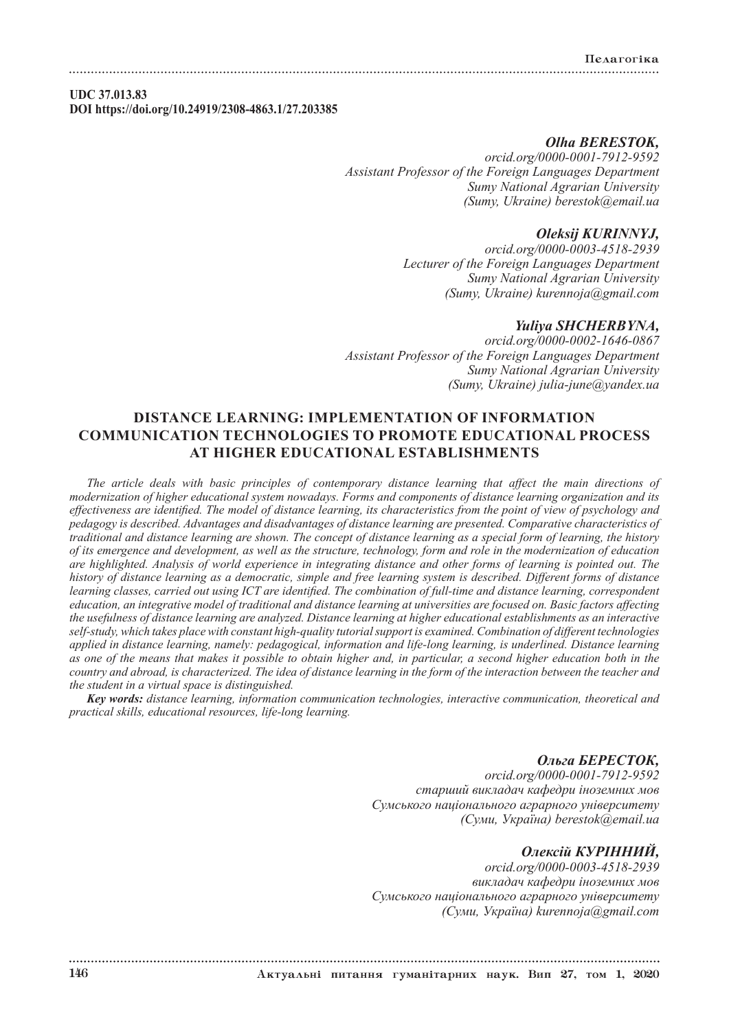## **UDC 37.013.83 DOI https://doi.org/10.24919/2308-4863.1/27.203385**

### *Olha BERESTOK,*

*orcid.org/0000-0001-7912-9592 Assistant Professor of the Foreign Languages Department Sumy National Agrarian University (Sumy, Ukraine) berestok@email.ua*

## *Oleksij KURINNYJ,*

*orcid.org/0000-0003-4518-2939 Lecturer of the Foreign Languages Department Sumy National Agrarian University (Sumy, Ukraine) kurennoja@gmail.com*

## *Yuliya SHCHERBYNA,*

*orcid.org/0000-0002-1646-0867 Assistant Professor of the Foreign Languages Department Sumy National Agrarian University (Sumy, Ukraine) julia-june@yandex.ua*

# **DISTANCE LEARNING: IMPLEMENTATION OF INFORMATION COMMUNICATION TECHNOLOGIES TO PROMOTE EDUCATIONAL PROCESS AT HIGHER EDUCATIONAL ESTABLISHMENTS**

*The article deals with basic principles of contemporary distance learning that affect the main directions of modernization of higher educational system nowadays. Forms and components of distance learning organization and its effectiveness are identified. The model of distance learning, its characteristics from the point of view of psychology and pedagogy is described. Advantages and disadvantages of distance learning are presented. Comparative characteristics of traditional and distance learning are shown. The concept of distance learning as a special form of learning, the history of its emergence and development, as well as the structure, technology, form and role in the modernization of education are highlighted. Analysis of world experience in integrating distance and other forms of learning is pointed out. The history of distance learning as a democratic, simple and free learning system is described. Different forms of distance learning classes, carried out using ICT are identified. The combination of full-time and distance learning, correspondent education, an integrative model of traditional and distance learning at universities are focused on. Basic factors affecting the usefulness of distance learning are analyzed. Distance learning at higher educational establishments as an interactive self-study, which takes place with constant high-quality tutorial support is examined. Combination of different technologies applied in distance learning, namely: pedagogical, information and life-long learning, is underlined. Distance learning as one of the means that makes it possible to obtain higher and, in particular, a second higher education both in the country and abroad, is characterized. The idea of distance learning in the form of the interaction between the teacher and the student in a virtual space is distinguished.*

*Key words: distance learning, information communication technologies, interactive communication, theoretical and practical skills, educational resources, life-long learning.*

#### *Ольга БЕРЕСТОК, orcid.org/0000-0001-7912-9592*

*старший викладач кафедри іноземних мов Сумського національного аграрного університету (Суми, Україна) berestok@email.ua*

# *Олексій КУРІННИЙ,*

*orcid.org/0000-0003-4518-2939 викладач кафедри іноземних мов Сумського національного аграрного університету (Суми, Україна) kurennoja@gmail.com* 

146 Актуальнi питання гуманiтарних наук. Вип 27, том 1, 2020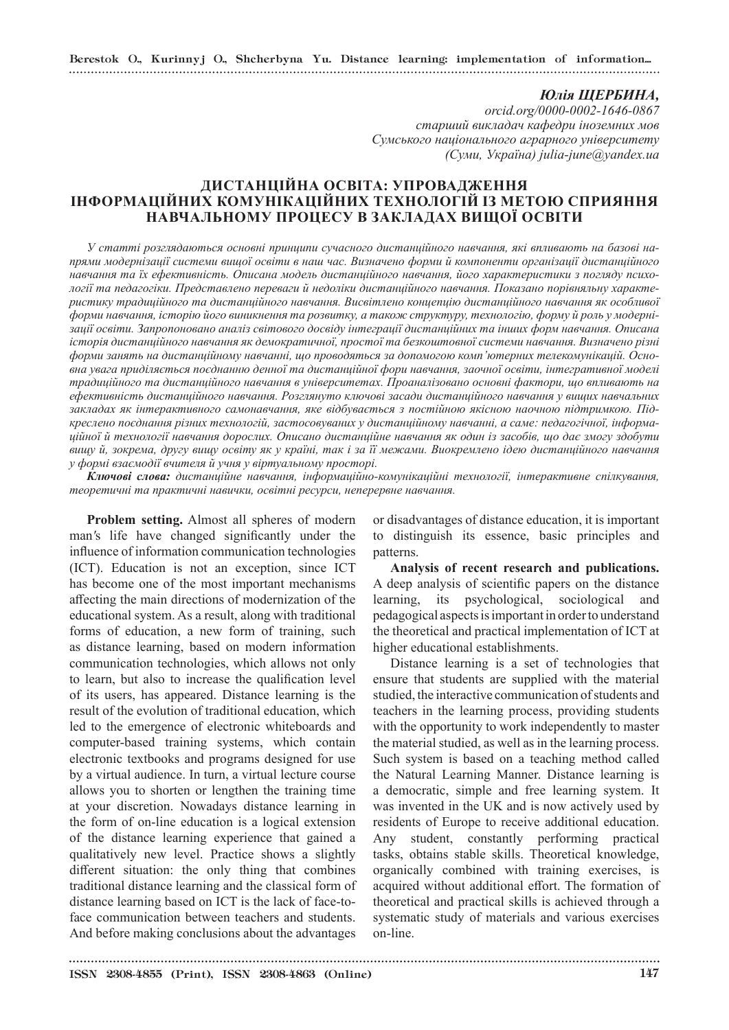Berestok O., Kurinnyj O., Shcherbyna Yu. Distance learning: implementation of information...

### *Юлія ЩЕРБИНА,*

*orcid.org/0000-0002-1646-0867 старший викладач кафедри іноземних мов Сумського національного аграрного університету (Суми, Україна) julia-june@yandex.ua*

# **ДИСТАНЦІЙНА ОСВІТА: УПРОВАДЖЕННЯ ІНФОРМАЦІЙНИХ КОМУНІКАЦІЙНИХ ТЕХНОЛОГІЙ ІЗ МЕТОЮ СПРИЯННЯ НАВЧАЛЬНОМУ ПРОЦЕСУ В ЗАКЛАДАХ ВИЩОЇ ОСВІТИ**

*У статті розглядаються основні принципи сучасного дистанційного навчання, які впливають на базові напрями модернізації системи вищої освіти в наш час. Визначено форми й компоненти організації дистанційного навчання та їх ефективність. Описана модель дистанційного навчання, його характеристики з погляду психології та педагогіки. Представлено переваги й недоліки дистанційного навчання. Показано порівняльну характеристику традиційного та дистанційного навчання. Висвітлено концепцію дистанційного навчання як особливої форми навчання, історію його виникнення та розвитку, а також структуру, технологію, форму й роль у модернізації освіти. Запропоновано аналіз світового досвіду інтеграції дистанційних та інших форм навчання. Описана історія дистанційного навчання як демократичної, простої та безкоштовної системи навчання. Визначено різні форми занять на дистанційному навчанні, що проводяться за допомогою комп'ютерних телекомунікацій. Основна увага приділяється поєднанню денної та дистанційної фори навчання, заочної освіти, інтегративної моделі традиційного та дистанційного навчання в університетах. Проаналізовано основні фактори, що впливають на ефективність дистанційного навчання. Розглянуто ключові засади дистанційного навчання у вищих навчальних закладах як інтерактивного самонавчання, яке відбувається з постійною якісною наочною підтримкою. Підкреслено поєднання різних технологій, застосовуваних у дистанційному навчанні, а саме: педагогічної, інформаційної й технології навчання дорослих. Описано дистанційне навчання як один із засобів, що дає змогу здобути вищу й, зокрема, другу вищу освіту як у країні, так і за її межами. Виокремлено ідею дистанційного навчання у формі взаємодії вчителя й учня у віртуальному просторі.*

*Ключові слова: дистанційне навчання, інформаційно-комунікаційні технології, інтерактивне спілкування, теоретичні та практичні навички, освітні ресурси, неперервне навчання.*

**Problem setting.** Almost all spheres of modern man*'*s life have changed significantly under the influence of information communication technologies (ICT). Education is not an exception, since ICT has become one of the most important mechanisms affecting the main directions of modernization of the educational system. As a result, along with traditional forms of education, a new form of training, such as distance learning, based on modern information communication technologies, which allows not only to learn, but also to increase the qualification level of its users, has appeared. Distance learning is the result of the evolution of traditional education, which led to the emergence of electronic whiteboards and computer-based training systems, which contain electronic textbooks and programs designed for use by a virtual audience. In turn, a virtual lecture course allows you to shorten or lengthen the training time at your discretion. Nowadays distance learning in the form of on-line education is a logical extension of the distance learning experience that gained a qualitatively new level. Practice shows a slightly different situation: the only thing that combines traditional distance learning and the classical form of distance learning based on ICT is the lack of face-toface communication between teachers and students. And before making conclusions about the advantages

or disadvantages of distance education, it is important to distinguish its essence, basic principles and patterns.

**Analysis of recent research and publications.**  A deep analysis of scientific papers on the distance learning, its psychological, sociological and pedagogical aspects is important in order to understand the theoretical and practical implementation of ICT at higher educational establishments.

Distance learning is a set of technologies that ensure that students are supplied with the material studied, the interactive communication of students and teachers in the learning process, providing students with the opportunity to work independently to master the material studied, as well as in the learning process. Such system is based on a teaching method called the Natural Learning Manner. Distance learning is a democratic, simple and free learning system. It was invented in the UK and is now actively used by residents of Europe to receive additional education. Any student, constantly performing practical tasks, obtains stable skills. Theoretical knowledge, organically combined with training exercises, is acquired without additional effort. The formation of theoretical and practical skills is achieved through a systematic study of materials and various exercises on-line.

ISSN 2308-4855 (Print), ISSN 2308-4863 (Online) 147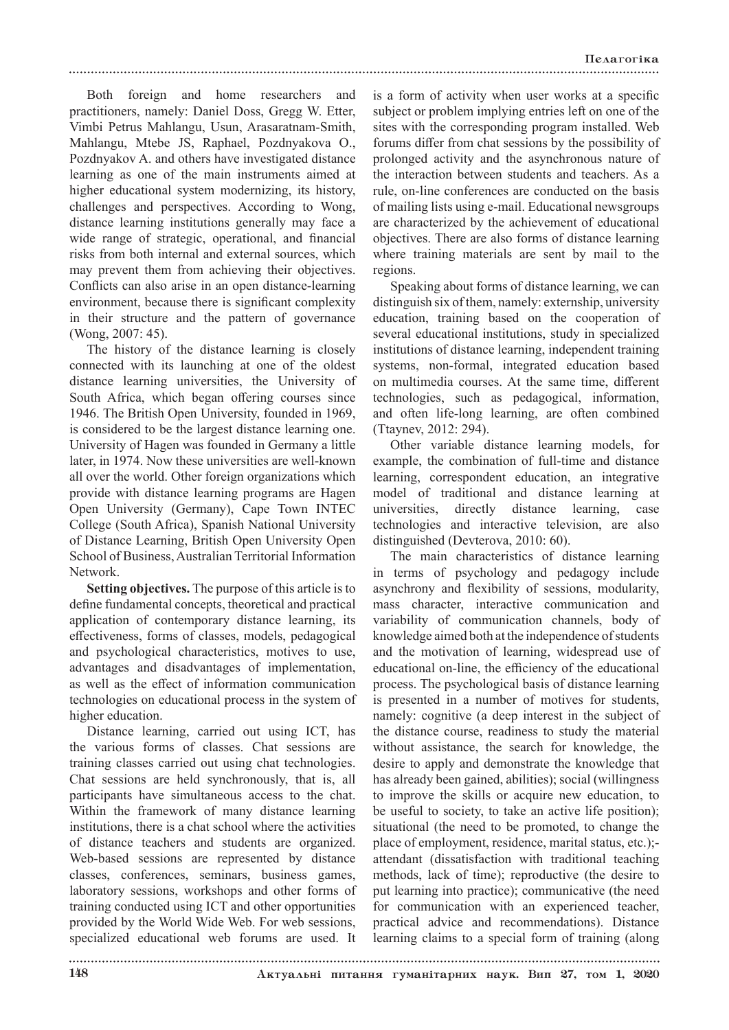Both foreign and home researchers and practitioners, namely: Daniel Doss, Gregg W. Etter, Vimbi Petrus Mahlangu, Usun, Arasaratnam-Smith, Mahlangu, Mtebe JS, Raphael, Pozdnyakova O., Pozdnyakov A. and others have investigated distance learning as one of the main instruments aimed at higher educational system modernizing, its history, challenges and perspectives. According to Wong, distance learning institutions generally may face a wide range of strategic, operational, and financial risks from both internal and external sources, which may prevent them from achieving their objectives. Conflicts can also arise in an open distance-learning environment, because there is significant complexity in their structure and the pattern of governance (Wong, 2007: 45).

The history of the distance learning is closely connected with its launching at one of the oldest distance learning universities, the University of South Africa, which began offering courses since 1946. The British Open University, founded in 1969, is considered to be the largest distance learning one. University of Hagen was founded in Germany a little later, in 1974. Now these universities are well-known all over the world. Other foreign organizations which provide with distance learning programs are Hagen Open University (Germany), Cape Town INTEC College (South Africa), Spanish National University of Distance Learning, British Open University Open School of Business, Australian Territorial Information Network.

**Setting objectives.** The purpose of this article is to define fundamental concepts, theoretical and practical application of contemporary distance learning, its effectiveness, forms of classes, models, pedagogical and psychological characteristics, motives to use, advantages and disadvantages of implementation, as well as the effect of information communication technologies on educational process in the system of higher education.

Distance learning, carried out using ICT, has the various forms of classes. Chat sessions are training classes carried out using chat technologies. Chat sessions are held synchronously, that is, all participants have simultaneous access to the chat. Within the framework of many distance learning institutions, there is a chat school where the activities of distance teachers and students are organized. Web-based sessions are represented by distance classes, conferences, seminars, business games, laboratory sessions, workshops and other forms of training conducted using ICT and other opportunities provided by the World Wide Web. For web sessions, specialized educational web forums are used. It

is a form of activity when user works at a specific subject or problem implying entries left on one of the sites with the corresponding program installed. Web forums differ from chat sessions by the possibility of prolonged activity and the asynchronous nature of the interaction between students and teachers. As a rule, on-line conferences are conducted on the basis of mailing lists using e-mail. Educational newsgroups are characterized by the achievement of educational objectives. There are also forms of distance learning where training materials are sent by mail to the regions.

Speaking about forms of distance learning, we can distinguish six of them, namely: externship, university education, training based on the cooperation of several educational institutions, study in specialized institutions of distance learning, independent training systems, non-formal, integrated education based on multimedia courses. At the same time, different technologies, such as pedagogical, information, and often life-long learning, are often combined (Тtaynev, 2012: 294).

Other variable distance learning models, for example, the combination of full-time and distance learning, correspondent education, an integrative model of traditional and distance learning at universities, directly distance learning, case technologies and interactive television, are also distinguished (Devterova, 2010: 60).

The main characteristics of distance learning in terms of psychology and pedagogy include asynchrony and flexibility of sessions, modularity, mass character, interactive communication and variability of communication channels, body of knowledge aimed both at the independence of students and the motivation of learning, widespread use of educational on-line, the efficiency of the educational process. The psychological basis of distance learning is presented in a number of motives for students, namely: cognitive (a deep interest in the subject of the distance course, readiness to study the material without assistance, the search for knowledge, the desire to apply and demonstrate the knowledge that has already been gained, abilities); social (willingness to improve the skills or acquire new education, to be useful to society, to take an active life position); situational (the need to be promoted, to change the place of employment, residence, marital status, etc.); attendant (dissatisfaction with traditional teaching methods, lack of time); reproductive (the desire to put learning into practice); communicative (the need for communication with an experienced teacher, practical advice and recommendations). Distance learning claims to a special form of training (along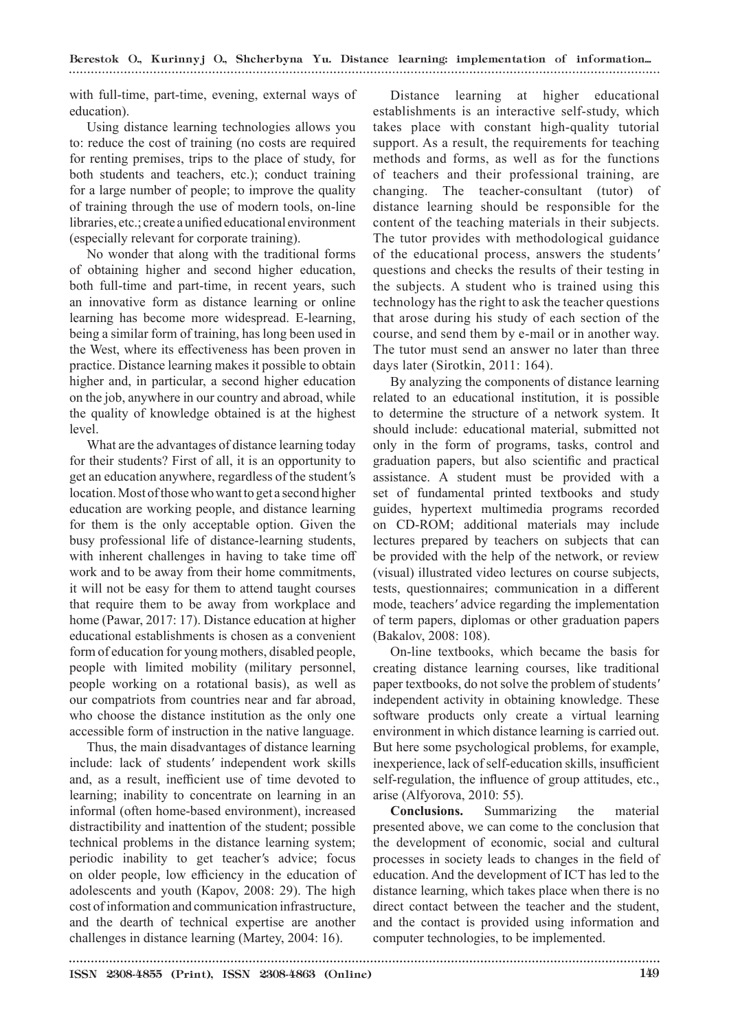Berestok O., Kurinnyj O., Shcherbyna Yu. Distance learning: implementation of information...

with full-time, part-time, evening, external ways of education).

Using distance learning technologies allows you to: reduce the cost of training (no costs are required for renting premises, trips to the place of study, for both students and teachers, etc.); conduct training for a large number of people; to improve the quality of training through the use of modern tools, on-line libraries, etc.; create a unified educational environment (especially relevant for corporate training).

No wonder that along with the traditional forms of obtaining higher and second higher education, both full-time and part-time, in recent years, such an innovative form as distance learning or online learning has become more widespread. E-learning, being a similar form of training, has long been used in the West, where its effectiveness has been proven in practice. Distance learning makes it possible to obtain higher and, in particular, a second higher education on the job, anywhere in our country and abroad, while the quality of knowledge obtained is at the highest level.

What are the advantages of distance learning today for their students? First of all, it is an opportunity to get an education anywhere, regardless of the student*'*s location. Most of those who want to get a second higher education are working people, and distance learning for them is the only acceptable option. Given the busy professional life of distance-learning students, with inherent challenges in having to take time off work and to be away from their home commitments, it will not be easy for them to attend taught courses that require them to be away from workplace and home (Pawar, 2017: 17). Distance education at higher educational establishments is chosen as a convenient form of education for young mothers, disabled people, people with limited mobility (military personnel, people working on a rotational basis), as well as our compatriots from countries near and far abroad, who choose the distance institution as the only one accessible form of instruction in the native language.

Thus, the main disadvantages of distance learning include: lack of students*'* independent work skills and, as a result, inefficient use of time devoted to learning; inability to concentrate on learning in an informal (often home-based environment), increased distractibility and inattention of the student; possible technical problems in the distance learning system; periodic inability to get teacher*'*s advice; focus on older people, low efficiency in the education of adolescents and youth (Каpov, 2008: 29). The high cost of information and communication infrastructure, and the dearth of technical expertise are another challenges in distance learning (Martey, 2004: 16).

Distance learning at higher educational establishments is an interactive self-study, which takes place with constant high-quality tutorial support. As a result, the requirements for teaching methods and forms, as well as for the functions of teachers and their professional training, are changing. The teacher-consultant (tutor) of distance learning should be responsible for the content of the teaching materials in their subjects. The tutor provides with methodological guidance of the educational process, answers the students*'* questions and checks the results of their testing in the subjects. A student who is trained using this technology has the right to ask the teacher questions that arose during his study of each section of the course, and send them by e-mail or in another way. The tutor must send an answer no later than three days later (Sirotkin, 2011: 164).

By analyzing the components of distance learning related to an educational institution, it is possible to determine the structure of a network system. It should include: educational material, submitted not only in the form of programs, tasks, control and graduation papers, but also scientific and practical assistance. A student must be provided with a set of fundamental printed textbooks and study guides, hypertext multimedia programs recorded on CD-ROM; additional materials may include lectures prepared by teachers on subjects that can be provided with the help of the network, or review (visual) illustrated video lectures on course subjects, tests, questionnaires; communication in a different mode, teachers*'* advice regarding the implementation of term papers, diplomas or other graduation papers (Bakalov, 2008: 108).

On-line textbooks, which became the basis for creating distance learning courses, like traditional paper textbooks, do not solve the problem of students*'* independent activity in obtaining knowledge. These software products only create a virtual learning environment in which distance learning is carried out. But here some psychological problems, for example, inexperience, lack of self-education skills, insufficient self-regulation, the influence of group attitudes, etc., arise (Аlfyorova, 2010: 55).

**Conclusions.** Summarizing the material presented above, we can come to the conclusion that the development of economic, social and cultural processes in society leads to changes in the field of education. And the development of ICT has led to the distance learning, which takes place when there is no direct contact between the teacher and the student, and the contact is provided using information and computer technologies, to be implemented.

ISSN 2308-4855 (Print), ISSN 2308-4863 (Online) 149